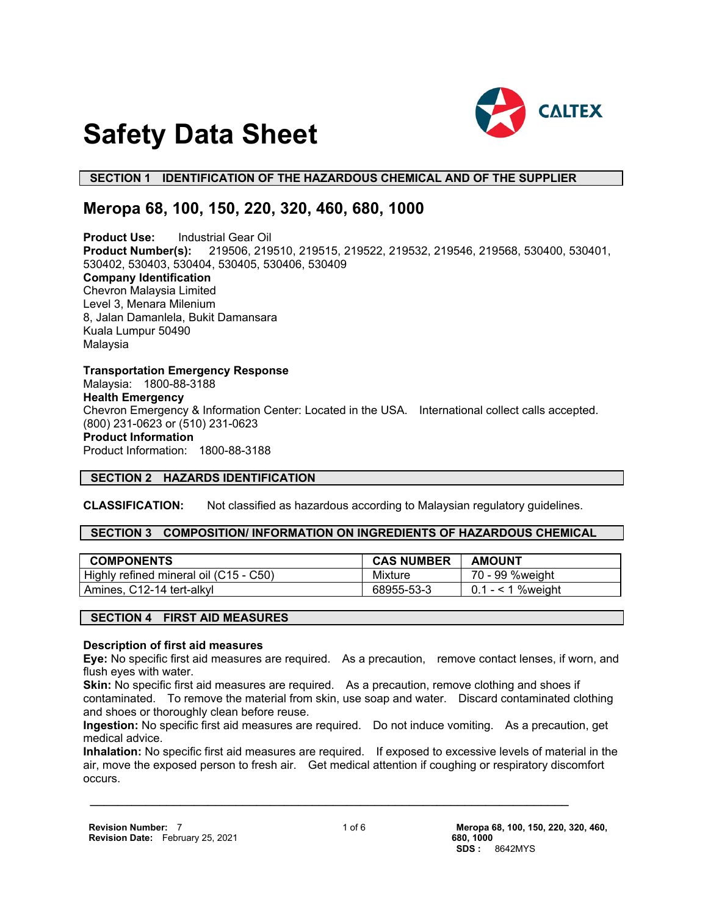

# **Safety Data Sheet**

# **SECTION 1 IDENTIFICATION OF THE HAZARDOUS CHEMICAL AND OF THE SUPPLIER**

# **Meropa 68, 100, 150, 220, 320, 460, 680, 1000**

**Product Use:** Industrial Gear Oil **Product Number(s):** 219506, 219510, 219515, 219522, 219532, 219546, 219568, 530400, 530401, 530402, 530403, 530404, 530405, 530406, 530409 **Company Identification** Chevron Malaysia Limited Level 3, Menara Milenium 8, Jalan Damanlela, Bukit Damansara Kuala Lumpur 50490 Malaysia

**Transportation Emergency Response** Malaysia: 1800-88-3188 **Health Emergency** Chevron Emergency & Information Center: Located in the USA. International collect calls accepted. (800) 231-0623 or (510) 231-0623 **Product Information** Product Information: 1800-88-3188

# **SECTION 2 HAZARDS IDENTIFICATION**

**CLASSIFICATION:** Not classified as hazardous according to Malaysian regulatory guidelines.

#### **SECTION 3 COMPOSITION/ INFORMATION ON INGREDIENTS OF HAZARDOUS CHEMICAL**

| <b>COMPONENTS</b>                      | <b>CAS NUMBER</b> | <b>AMOUNT</b>       |
|----------------------------------------|-------------------|---------------------|
| Highly refined mineral oil (C15 - C50) | Mixture           | 70 - 99 %weight     |
| Amines, C12-14 tert-alkyl              | 68955-53-3        | $0.1 - 51$ % weight |

# **SECTION 4 FIRST AID MEASURES**

#### **Description of first aid measures**

**Eye:** No specific first aid measures are required. As a precaution, remove contact lenses, if worn, and flush eyes with water.

**Skin:** No specific first aid measures are required. As a precaution, remove clothing and shoes if contaminated. To remove the material from skin, use soap and water. Discard contaminated clothing and shoes or thoroughly clean before reuse.

**Ingestion:** No specific first aid measures are required. Do not induce vomiting. As a precaution, get medical advice.

**Inhalation:** No specific first aid measures are required. If exposed to excessive levels of material in the air, move the exposed person to fresh air. Get medical attention if coughing or respiratory discomfort occurs.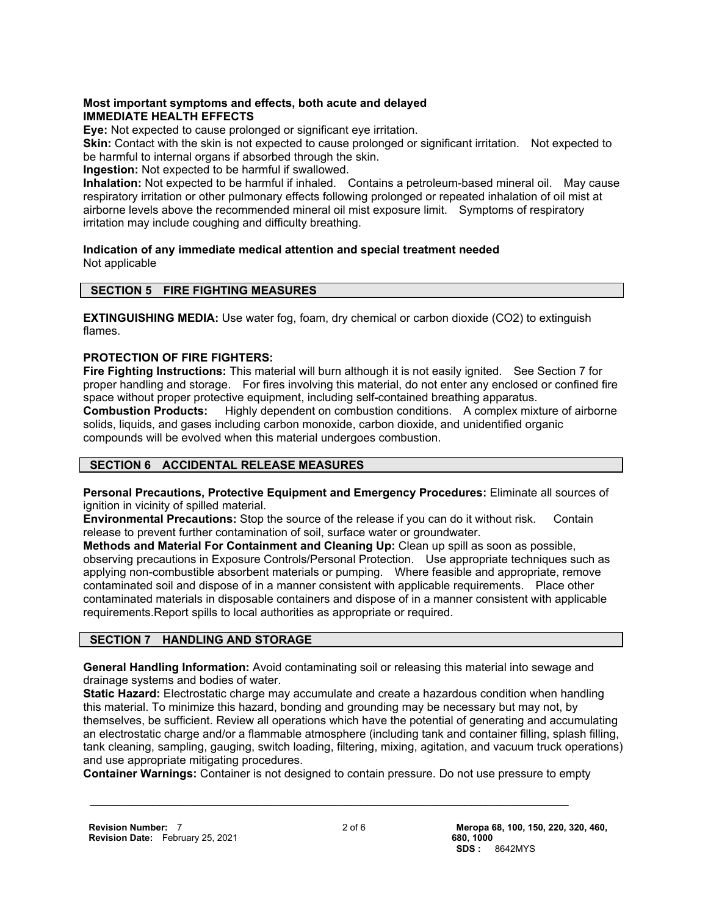#### **Most important symptoms and effects, both acute and delayed IMMEDIATE HEALTH EFFECTS**

**Eye:** Not expected to cause prolonged or significant eye irritation.

**Skin:** Contact with the skin is not expected to cause prolonged or significant irritation. Not expected to be harmful to internal organs if absorbed through the skin.

**Ingestion:** Not expected to be harmful if swallowed.

**Inhalation:** Not expected to be harmful if inhaled. Contains a petroleum-based mineral oil. May cause respiratory irritation or other pulmonary effects following prolonged or repeated inhalation of oil mist at airborne levels above the recommended mineral oil mist exposure limit. Symptoms of respiratory irritation may include coughing and difficulty breathing.

**Indication of any immediate medical attention and special treatment needed** Not applicable

# **SECTION 5 FIRE FIGHTING MEASURES**

**EXTINGUISHING MEDIA:** Use water fog, foam, dry chemical or carbon dioxide (CO2) to extinguish flames.

# **PROTECTION OF FIRE FIGHTERS:**

**Fire Fighting Instructions:** This material will burn although it is not easily ignited. See Section 7 for proper handling and storage. For fires involving this material, do not enter any enclosed or confined fire space without proper protective equipment, including self-contained breathing apparatus. **Combustion Products:** Highly dependent on combustion conditions. A complex mixture of airborne solids, liquids, and gases including carbon monoxide, carbon dioxide, and unidentified organic compounds will be evolved when this material undergoes combustion.

# **SECTION 6 ACCIDENTAL RELEASE MEASURES**

**Personal Precautions, Protective Equipment and Emergency Procedures:** Eliminate all sources of ignition in vicinity of spilled material.

**Environmental Precautions:** Stop the source of the release if you can do it without risk. Contain release to prevent further contamination of soil, surface water or groundwater.

**Methods and Material For Containment and Cleaning Up:** Clean up spill as soon as possible, observing precautions in Exposure Controls/Personal Protection. Use appropriate techniques such as applying non-combustible absorbent materials or pumping. Where feasible and appropriate, remove contaminated soil and dispose of in a manner consistent with applicable requirements. Place other contaminated materials in disposable containers and dispose of in a manner consistent with applicable requirements.Report spills to local authorities as appropriate or required.

# **SECTION 7 HANDLING AND STORAGE**

**General Handling Information:** Avoid contaminating soil or releasing this material into sewage and drainage systems and bodies of water.

**Static Hazard:** Electrostatic charge may accumulate and create a hazardous condition when handling this material. To minimize this hazard, bonding and grounding may be necessary but may not, by themselves, be sufficient. Review all operations which have the potential of generating and accumulating an electrostatic charge and/or a flammable atmosphere (including tank and container filling, splash filling, tank cleaning, sampling, gauging, switch loading, filtering, mixing, agitation, and vacuum truck operations) and use appropriate mitigating procedures.

**Container Warnings:** Container is not designed to contain pressure. Do not use pressure to empty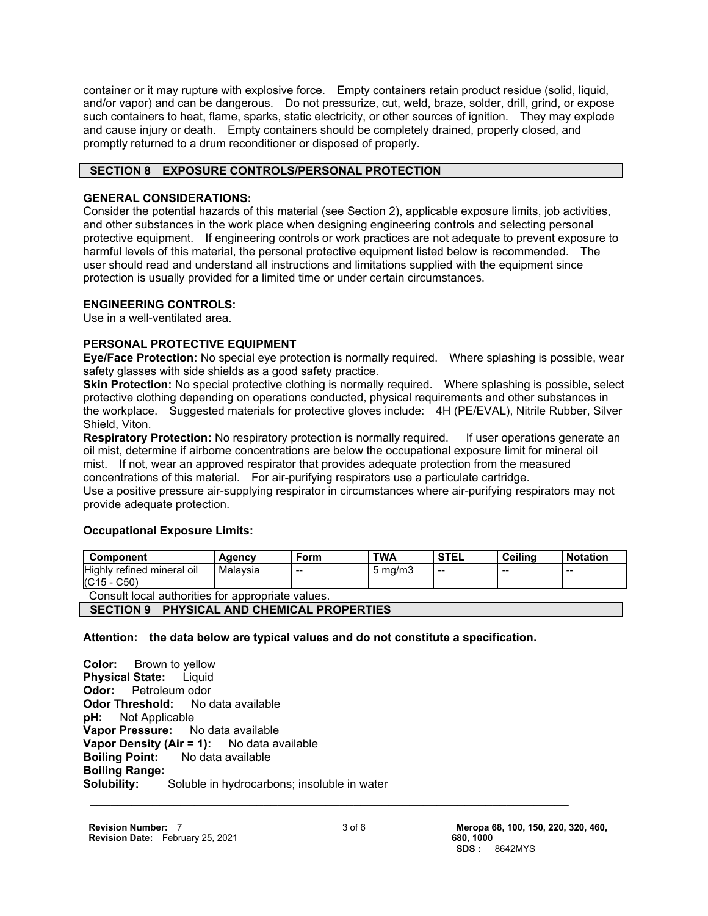container or it may rupture with explosive force. Empty containers retain product residue (solid, liquid, and/or vapor) and can be dangerous. Do not pressurize, cut, weld, braze, solder, drill, grind, or expose such containers to heat, flame, sparks, static electricity, or other sources of ignition. They may explode and cause injury or death. Empty containers should be completely drained, properly closed, and promptly returned to a drum reconditioner or disposed of properly.

# **SECTION 8 EXPOSURE CONTROLS/PERSONAL PROTECTION**

# **GENERAL CONSIDERATIONS:**

Consider the potential hazards of this material (see Section 2), applicable exposure limits, job activities, and other substances in the work place when designing engineering controls and selecting personal protective equipment. If engineering controls or work practices are not adequate to prevent exposure to harmful levels of this material, the personal protective equipment listed below is recommended. The user should read and understand all instructions and limitations supplied with the equipment since protection is usually provided for a limited time or under certain circumstances.

# **ENGINEERING CONTROLS:**

Use in a well-ventilated area.

# **PERSONAL PROTECTIVE EQUIPMENT**

**Eye/Face Protection:** No special eye protection is normally required. Where splashing is possible, wear safety glasses with side shields as a good safety practice.

**Skin Protection:** No special protective clothing is normally required. Where splashing is possible, select protective clothing depending on operations conducted, physical requirements and other substances in the workplace. Suggested materials for protective gloves include: 4H (PE/EVAL), Nitrile Rubber, Silver Shield, Viton.

**Respiratory Protection:** No respiratory protection is normally required. If user operations generate an oil mist, determine if airborne concentrations are below the occupational exposure limit for mineral oil mist. If not, wear an approved respirator that provides adequate protection from the measured concentrations of this material. For air-purifying respirators use a particulate cartridge. Use a positive pressure air-supplying respirator in circumstances where air-purifying respirators may not provide adequate protection.

# **Occupational Exposure Limits:**

| Component                                         | Agency   | Form  | <b>TWA</b>       | <b>STEL</b> | Ceilina | <b>Notation</b> |  |
|---------------------------------------------------|----------|-------|------------------|-------------|---------|-----------------|--|
| Highly refined mineral oil<br>$(C15 - C50)$       | Malavsia | $- -$ | $5 \text{ mg/m}$ | $- -$       | $- -$   | --              |  |
| Consult local authorities for appropriate values. |          |       |                  |             |         |                 |  |
| ---------                                         |          |       |                  |             |         |                 |  |

# **SECTION 9 PHYSICAL AND CHEMICAL PROPERTIES**

# **Attention: the data below are typical values and do not constitute a specification.**

 **\_\_\_\_\_\_\_\_\_\_\_\_\_\_\_\_\_\_\_\_\_\_\_\_\_\_\_\_\_\_\_\_\_\_\_\_\_\_\_\_\_\_\_\_\_\_\_\_\_\_\_\_\_\_\_\_\_\_\_\_\_\_\_\_\_\_\_\_\_ Color:** Brown to yellow **Physical State:** Liquid **Odor:** Petroleum odor **Odor Threshold:** No data available **pH:** Not Applicable **Vapor Pressure:** No data available **Vapor Density (Air = 1):** No data available **Boiling Point:** No data available **Boiling Range: Solubility:** Soluble in hydrocarbons; insoluble in water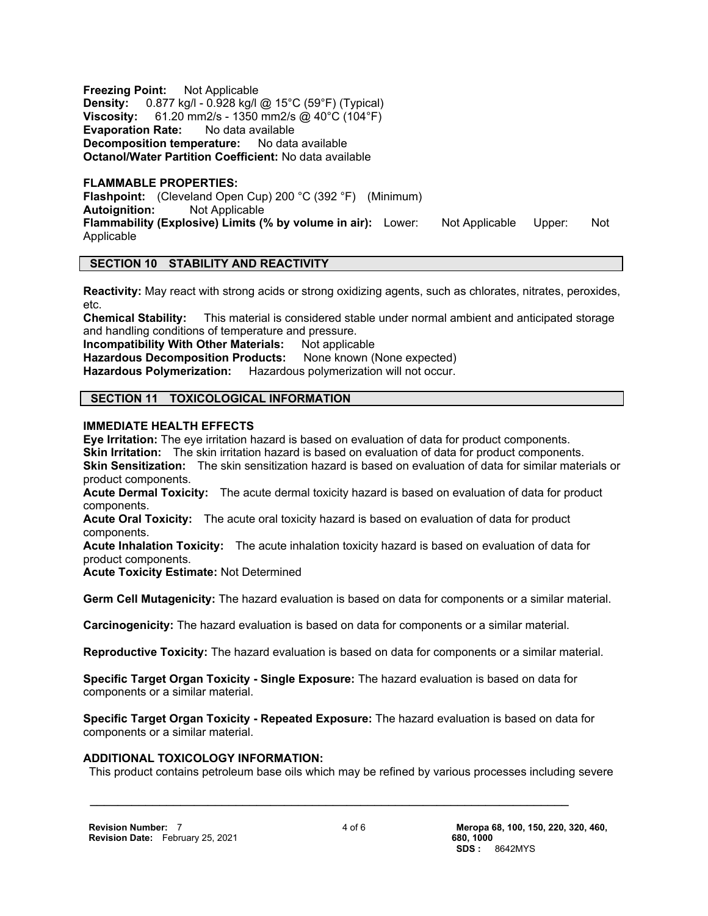**Freezing Point:** Not Applicable **Density:** 0.877 kg/l - 0.928 kg/l @ 15°C (59°F) (Typical) **Viscosity:** 61.20 mm2/s - 1350 mm2/s @ 40°C (104°F) **Evaporation Rate:** No data available **Decomposition temperature:** No data available **Octanol/Water Partition Coefficient:** No data available

#### **FLAMMABLE PROPERTIES:**

**Flashpoint:** (Cleveland Open Cup) 200 °C (392 °F) (Minimum) **Autoignition:** Not Applicable **Flammability (Explosive) Limits (% by volume in air):** Lower: Not Applicable Upper: Not Applicable

# **SECTION 10 STABILITY AND REACTIVITY**

**Reactivity:** May react with strong acids or strong oxidizing agents, such as chlorates, nitrates, peroxides, etc.

**Chemical Stability:** This material is considered stable under normal ambient and anticipated storage and handling conditions of temperature and pressure.

**Incompatibility With Other Materials:** Not applicable Hazardous Decomposition Products: None known (None expected) **Hazardous Polymerization:** Hazardous polymerization will not occur.

# **SECTION 11 TOXICOLOGICAL INFORMATION**

#### **IMMEDIATE HEALTH EFFECTS**

**Eye Irritation:** The eye irritation hazard is based on evaluation of data for product components. **Skin Irritation:** The skin irritation hazard is based on evaluation of data for product components. **Skin Sensitization:** The skin sensitization hazard is based on evaluation of data for similar materials or product components.

**Acute Dermal Toxicity:** The acute dermal toxicity hazard is based on evaluation of data for product components.

**Acute Oral Toxicity:** The acute oral toxicity hazard is based on evaluation of data for product components.

**Acute Inhalation Toxicity:** The acute inhalation toxicity hazard is based on evaluation of data for product components.

**Acute Toxicity Estimate:** Not Determined

**Germ Cell Mutagenicity:** The hazard evaluation is based on data for components or a similar material.

**Carcinogenicity:** The hazard evaluation is based on data for components or a similar material.

**Reproductive Toxicity:** The hazard evaluation is based on data for components or a similar material.

**Specific Target Organ Toxicity - Single Exposure:** The hazard evaluation is based on data for components or a similar material.

 **\_\_\_\_\_\_\_\_\_\_\_\_\_\_\_\_\_\_\_\_\_\_\_\_\_\_\_\_\_\_\_\_\_\_\_\_\_\_\_\_\_\_\_\_\_\_\_\_\_\_\_\_\_\_\_\_\_\_\_\_\_\_\_\_\_\_\_\_\_**

**Specific Target Organ Toxicity - Repeated Exposure:** The hazard evaluation is based on data for components or a similar material.

#### **ADDITIONAL TOXICOLOGY INFORMATION:**

This product contains petroleum base oils which may be refined by various processes including severe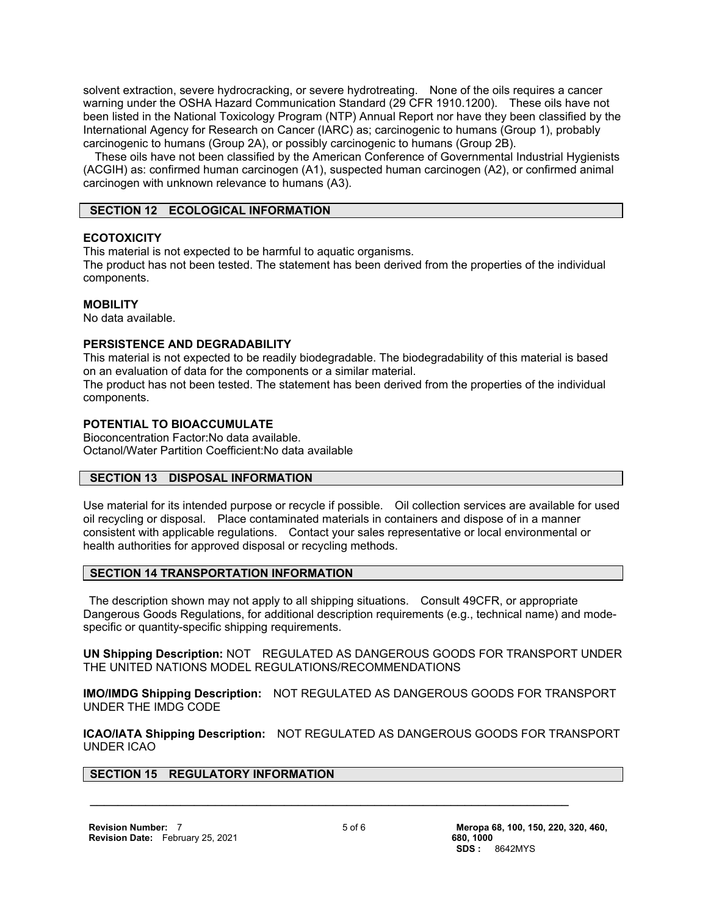solvent extraction, severe hydrocracking, or severe hydrotreating. None of the oils requires a cancer warning under the OSHA Hazard Communication Standard (29 CFR 1910.1200). These oils have not been listed in the National Toxicology Program (NTP) Annual Report nor have they been classified by the International Agency for Research on Cancer (IARC) as; carcinogenic to humans (Group 1), probably carcinogenic to humans (Group 2A), or possibly carcinogenic to humans (Group 2B).

 These oils have not been classified by the American Conference of Governmental Industrial Hygienists (ACGIH) as: confirmed human carcinogen (A1), suspected human carcinogen (A2), or confirmed animal carcinogen with unknown relevance to humans (A3).

# **SECTION 12 ECOLOGICAL INFORMATION**

#### **ECOTOXICITY**

This material is not expected to be harmful to aquatic organisms.

The product has not been tested. The statement has been derived from the properties of the individual components.

#### **MOBILITY**

No data available.

#### **PERSISTENCE AND DEGRADABILITY**

This material is not expected to be readily biodegradable. The biodegradability of this material is based on an evaluation of data for the components or a similar material.

The product has not been tested. The statement has been derived from the properties of the individual components.

# **POTENTIAL TO BIOACCUMULATE**

Bioconcentration Factor:No data available. Octanol/Water Partition Coefficient:No data available

# **SECTION 13 DISPOSAL INFORMATION**

Use material for its intended purpose or recycle if possible. Oil collection services are available for used oil recycling or disposal. Place contaminated materials in containers and dispose of in a manner consistent with applicable regulations. Contact your sales representative or local environmental or health authorities for approved disposal or recycling methods.

# **SECTION 14 TRANSPORTATION INFORMATION**

 The description shown may not apply to all shipping situations. Consult 49CFR, or appropriate Dangerous Goods Regulations, for additional description requirements (e.g., technical name) and modespecific or quantity-specific shipping requirements.

**UN Shipping Description:** NOT REGULATED AS DANGEROUS GOODS FOR TRANSPORT UNDER THE UNITED NATIONS MODEL REGULATIONS/RECOMMENDATIONS

**IMO/IMDG Shipping Description:** NOT REGULATED AS DANGEROUS GOODS FOR TRANSPORT UNDER THE IMDG CODE

**ICAO/IATA Shipping Description:** NOT REGULATED AS DANGEROUS GOODS FOR TRANSPORT UNDER ICAO

#### **SECTION 15 REGULATORY INFORMATION**